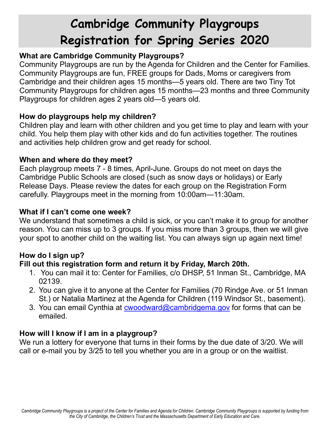# **Cambridge Community Playgroups Registration for Spring Series 2020**

# **What are Cambridge Community Playgroups?**

Community Playgroups are run by the Agenda for Children and the Center for Families. Community Playgroups are fun, FREE groups for Dads, Moms or caregivers from Cambridge and their children ages 15 months—5 years old. There are two Tiny Tot Community Playgroups for children ages 15 months—23 months and three Community Playgroups for children ages 2 years old—5 years old.

## **How do playgroups help my children?**

Children play and learn with other children and you get time to play and learn with your child. You help them play with other kids and do fun activities together. The routines and activities help children grow and get ready for school.

## **When and where do they meet?**

Each playgroup meets 7 - 8 times, April-June. Groups do not meet on days the Cambridge Public Schools are closed (such as snow days or holidays) or Early Release Days. Please review the dates for each group on the Registration Form carefully. Playgroups meet in the morning from 10:00am—11:30am.

## **What if I can't come one week?**

We understand that sometimes a child is sick, or you can't make it to group for another reason. You can miss up to 3 groups. If you miss more than 3 groups, then we will give your spot to another child on the waiting list. You can always sign up again next time!

## **How do I sign up?**

## **Fill out this registration form and return it by Friday, March 20th.**

- 1. You can mail it to: Center for Families, c/o DHSP, 51 Inman St., Cambridge, MA 02139.
- 2. You can give it to anyone at the Center for Families (70 Rindge Ave. or 51 Inman St.) or Natalia Martinez at the Agenda for Children (119 Windsor St., basement).
- 3. You can email Cynthia at [cwoodward@cambridgema.gov](mailto:cwoodward@cambridgema.gov) for forms that can be emailed.

## **How will I know if I am in a playgroup?**

We run a lottery for everyone that turns in their forms by the due date of 3/20. We will call or e-mail you by 3/25 to tell you whether you are in a group or on the waitlist.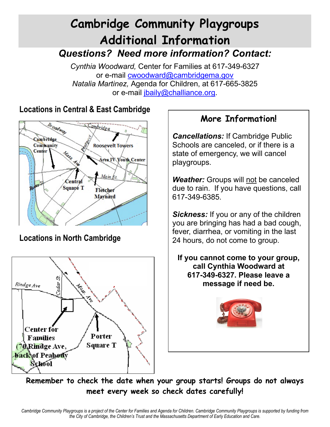# **Cambridge Community Playgroups Additional Information** *Questions? Need more information? Contact:*

*Cynthia Woodward,* Center for Families at 617-349-6327 or e-mail [cwoodward@cambridgema.gov](mailto:cwoodward@cambridgema.gov) *Natalia Martinez,* Agenda for Children, at 617-665-3825 or e-mail [jbaily@challiance.org.](mailto:jbaily@challiance.org)

# **Locations in Central & East Cambridge**



# **Locations in North Cambridge**



# **More Information!**

*Cancellations:* If Cambridge Public Schools are canceled, or if there is a state of emergency, we will cancel playgroups.

*Weather:* Groups will not be canceled due to rain. If you have questions, call 617-349-6385.

*Sickness:* If you or any of the children you are bringing has had a bad cough, fever, diarrhea, or vomiting in the last 24 hours, do not come to group.

**If you cannot come to your group, call Cynthia Woodward at 617-349-6327. Please leave a message if need be.** 



**Remember to check the date when your group starts! Groups do not always meet every week so check dates carefully!**